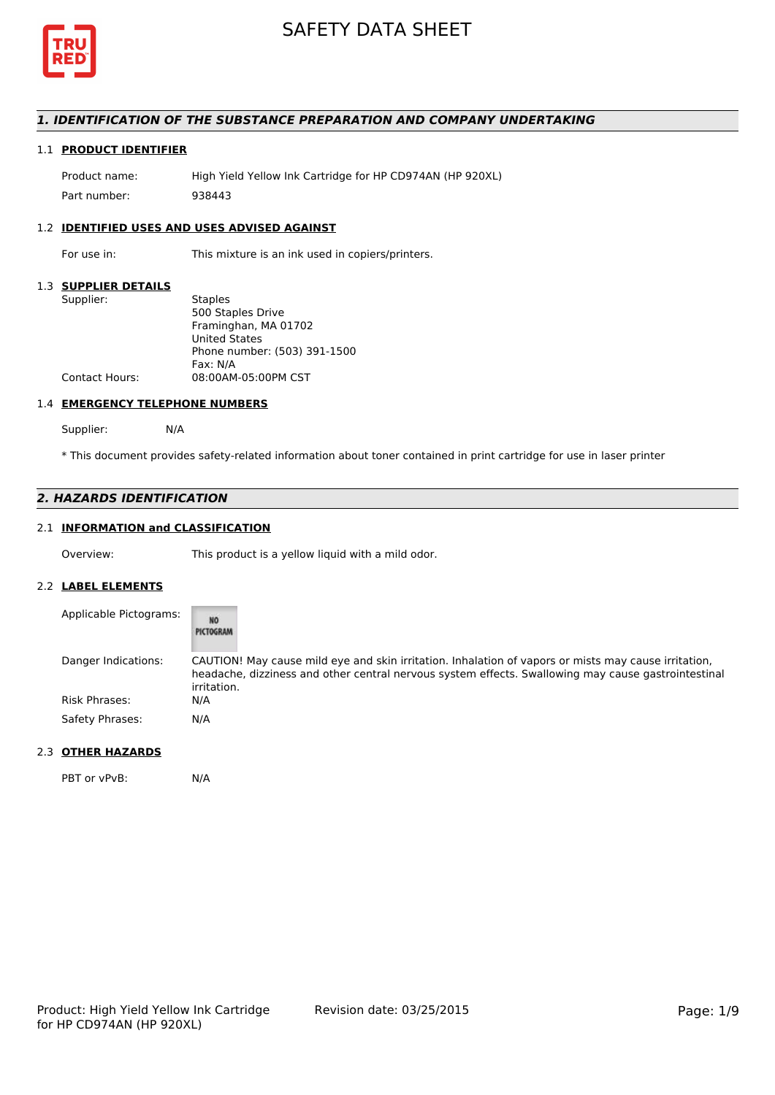

# *1. IDENTIFICATION OF THE SUBSTANCE PREPARATION AND COMPANY UNDERTAKING*

# 1.1 **PRODUCT IDENTIFIER**

Product name: High Yield Yellow Ink Cartridge for HP CD974AN (HP 920XL) Part number: 938443

## 1.2 **IDENTIFIED USES AND USES ADVISED AGAINST**

For use in: This mixture is an ink used in copiers/printers.

#### 1.3 **SUPPLIER DETAILS**

| Supplier:             | <b>Staples</b>               |
|-----------------------|------------------------------|
|                       | 500 Staples Drive            |
|                       | Framinghan, MA 01702         |
|                       | <b>United States</b>         |
|                       | Phone number: (503) 391-1500 |
|                       | Fax: N/A                     |
| <b>Contact Hours:</b> | 08:00AM-05:00PM CST          |
|                       |                              |

#### 1.4 **EMERGENCY TELEPHONE NUMBERS**

Supplier: N/A

\* This document provides safety-related information about toner contained in print cartridge for use in laser printer

# *2. HAZARDS IDENTIFICATION*

# 2.1 **INFORMATION and CLASSIFICATION**

Overview: This product is a yellow liquid with a mild odor.

#### 2.2 **LABEL ELEMENTS**

| Applicable Pictograms: | NO<br>PICTOGRAM                                                                                                                                                                                                            |
|------------------------|----------------------------------------------------------------------------------------------------------------------------------------------------------------------------------------------------------------------------|
| Danger Indications:    | CAUTION! May cause mild eye and skin irritation. Inhalation of vapors or mists may cause irritation,<br>headache, dizziness and other central nervous system effects. Swallowing may cause gastrointestinal<br>irritation. |
| <b>Risk Phrases:</b>   | N/A                                                                                                                                                                                                                        |
| Safety Phrases:        | N/A                                                                                                                                                                                                                        |

#### 2.3 **OTHER HAZARDS**

PBT or vPvB: N/A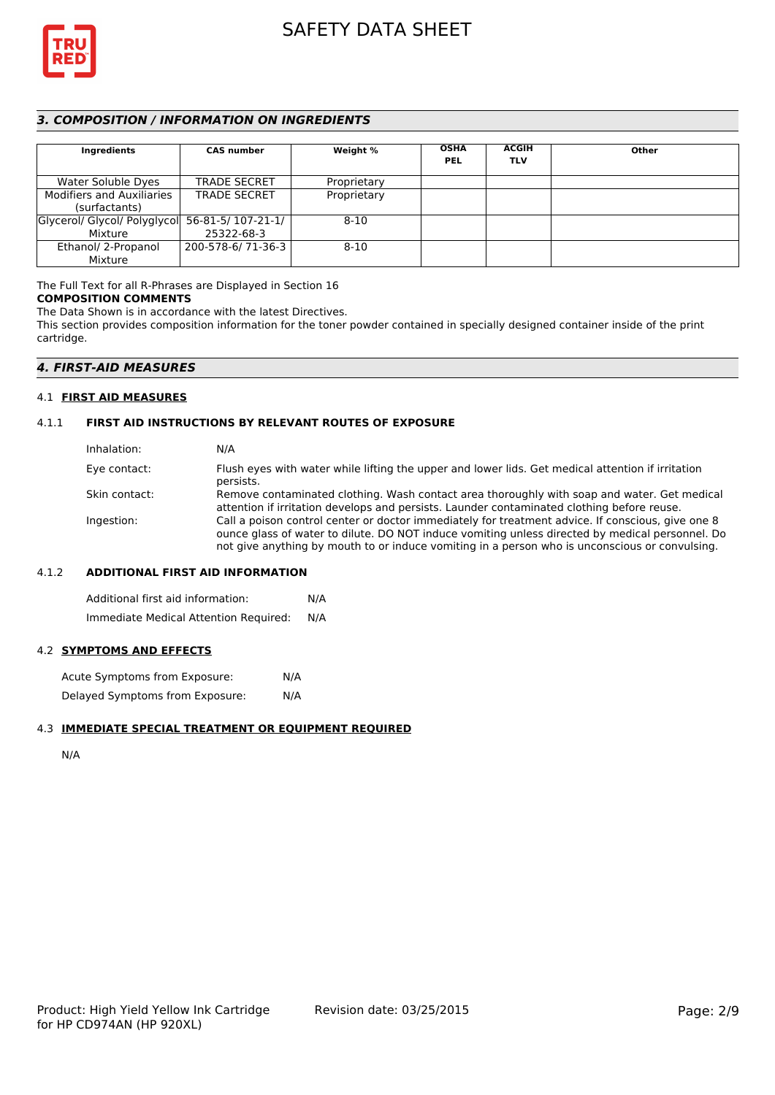

# *3. COMPOSITION / INFORMATION ON INGREDIENTS*

| Ingredients                                    | <b>CAS number</b>   | Weight %    | <b>OSHA</b><br><b>PEL</b> | <b>ACGIH</b><br><b>TLV</b> | Other |
|------------------------------------------------|---------------------|-------------|---------------------------|----------------------------|-------|
| Water Soluble Dyes                             | <b>TRADE SECRET</b> | Proprietary |                           |                            |       |
| <b>Modifiers and Auxiliaries</b>               | <b>TRADE SECRET</b> | Proprietary |                           |                            |       |
| (surfactants)                                  |                     |             |                           |                            |       |
| Glycerol/ Glycol/ Polyglycol 56-81-5/107-21-1/ |                     | $8 - 10$    |                           |                            |       |
| Mixture                                        | 25322-68-3          |             |                           |                            |       |
| Ethanol/ 2-Propanol                            | 200-578-6/71-36-3   | $8 - 10$    |                           |                            |       |
| Mixture                                        |                     |             |                           |                            |       |

The Full Text for all R-Phrases are Displayed in Section 16 **COMPOSITION COMMENTS**

The Data Shown is in accordance with the latest Directives.

This section provides composition information for the toner powder contained in specially designed container inside of the print cartridge.

# *4. FIRST-AID MEASURES*

#### 4.1 **FIRST AID MEASURES**

### 4.1.1 **FIRST AID INSTRUCTIONS BY RELEVANT ROUTES OF EXPOSURE**

| Inhalation:   | N/A                                                                                                                                                                                                                                                                                                    |
|---------------|--------------------------------------------------------------------------------------------------------------------------------------------------------------------------------------------------------------------------------------------------------------------------------------------------------|
| Eye contact:  | Flush eyes with water while lifting the upper and lower lids. Get medical attention if irritation<br>persists.                                                                                                                                                                                         |
| Skin contact: | Remove contaminated clothing. Wash contact area thoroughly with soap and water. Get medical<br>attention if irritation develops and persists. Launder contaminated clothing before reuse.                                                                                                              |
| Ingestion:    | Call a poison control center or doctor immediately for treatment advice. If conscious, give one 8<br>ounce glass of water to dilute. DO NOT induce vomiting unless directed by medical personnel. Do<br>not give anything by mouth to or induce vomiting in a person who is unconscious or convulsing. |

#### 4.1.2 **ADDITIONAL FIRST AID INFORMATION**

Additional first aid information: N/A Immediate Medical Attention Required: N/A

# 4.2 **SYMPTOMS AND EFFECTS**

Acute Symptoms from Exposure: N/A Delayed Symptoms from Exposure: N/A

#### 4.3 **IMMEDIATE SPECIAL TREATMENT OR EQUIPMENT REQUIRED**

N/A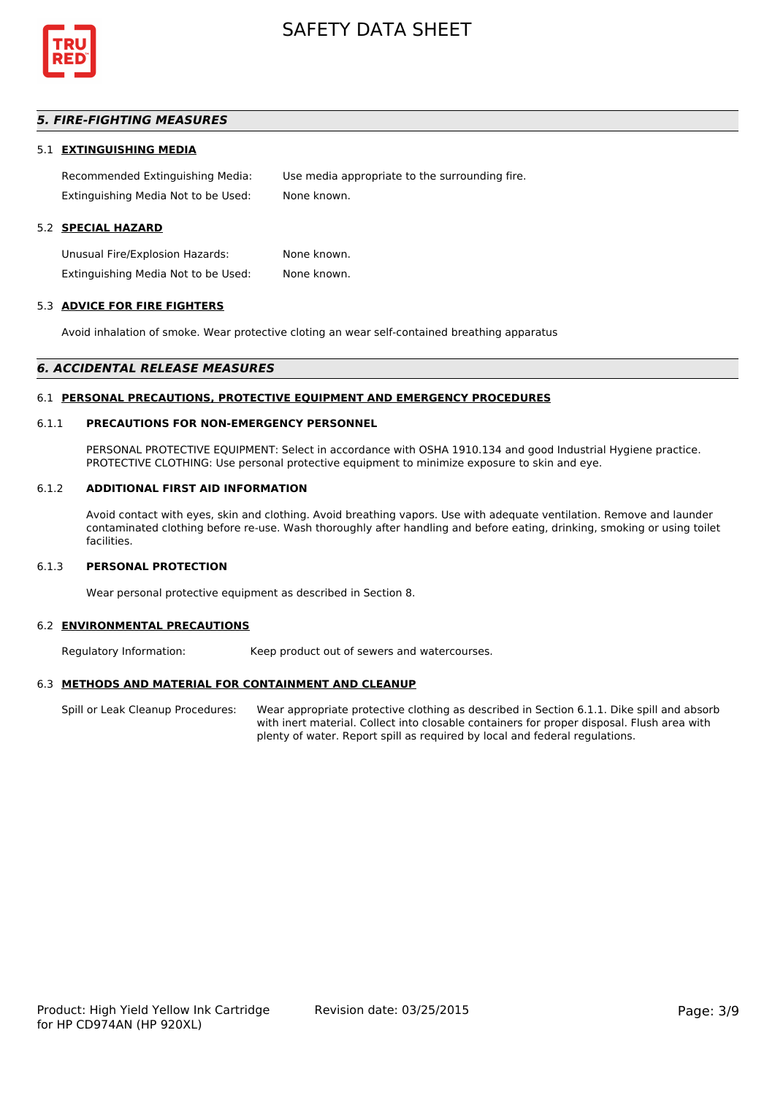

# *5. FIRE-FIGHTING MEASURES*

#### 5.1 **EXTINGUISHING MEDIA**

Recommended Extinguishing Media: Use media appropriate to the surrounding fire. Extinguishing Media Not to be Used: None known.

# 5.2 **SPECIAL HAZARD**

Unusual Fire/Explosion Hazards: None known. Extinguishing Media Not to be Used: None known.

#### 5.3 **ADVICE FOR FIRE FIGHTERS**

Avoid inhalation of smoke. Wear protective cloting an wear self-contained breathing apparatus

#### *6. ACCIDENTAL RELEASE MEASURES*

#### 6.1 **PERSONAL PRECAUTIONS, PROTECTIVE EQUIPMENT AND EMERGENCY PROCEDURES**

#### 6.1.1 **PRECAUTIONS FOR NON-EMERGENCY PERSONNEL**

PERSONAL PROTECTIVE EQUIPMENT: Select in accordance with OSHA 1910.134 and good Industrial Hygiene practice. PROTECTIVE CLOTHING: Use personal protective equipment to minimize exposure to skin and eye.

#### 6.1.2 **ADDITIONAL FIRST AID INFORMATION**

Avoid contact with eyes, skin and clothing. Avoid breathing vapors. Use with adequate ventilation. Remove and launder contaminated clothing before re-use. Wash thoroughly after handling and before eating, drinking, smoking or using toilet facilities.

#### 6.1.3 **PERSONAL PROTECTION**

Wear personal protective equipment as described in Section 8.

#### 6.2 **ENVIRONMENTAL PRECAUTIONS**

Regulatory Information: Keep product out of sewers and watercourses.

#### 6.3 **METHODS AND MATERIAL FOR CONTAINMENT AND CLEANUP**

Spill or Leak Cleanup Procedures: Wear appropriate protective clothing as described in Section 6.1.1. Dike spill and absorb with inert material. Collect into closable containers for proper disposal. Flush area with plenty of water. Report spill as required by local and federal regulations.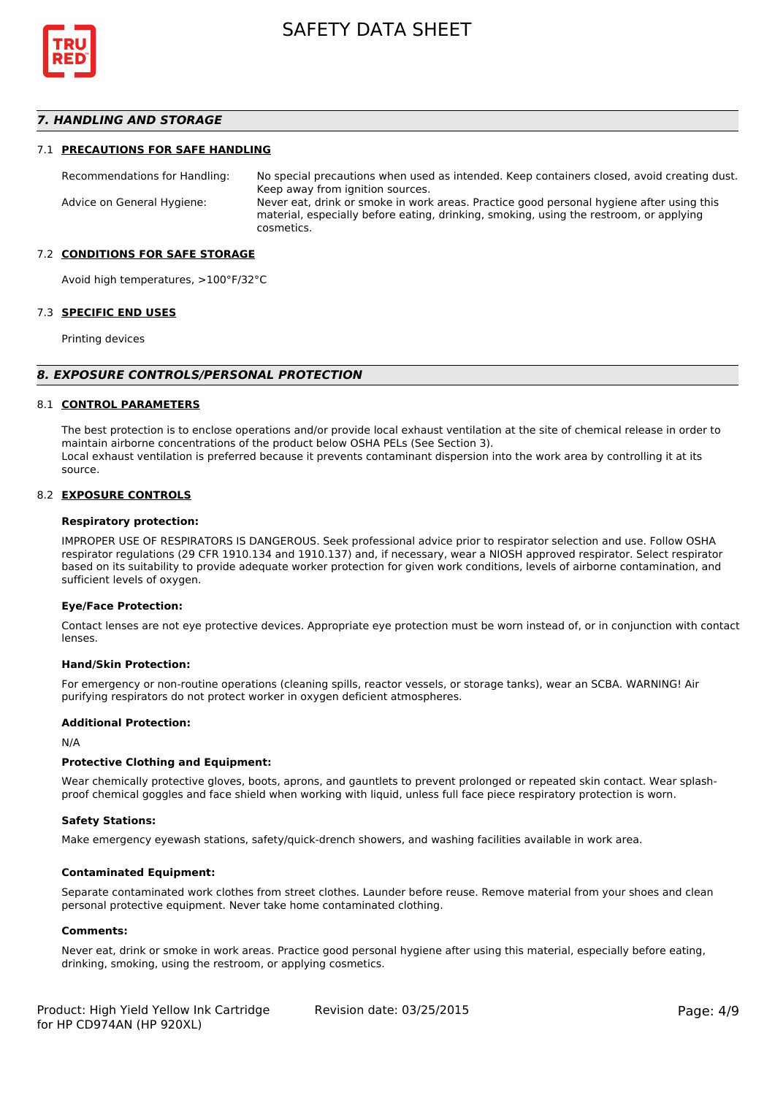

### *7. HANDLING AND STORAGE*

#### 7.1 **PRECAUTIONS FOR SAFE HANDLING**

Recommendations for Handling: No special precautions when used as intended. Keep containers closed, avoid creating dust. Keep away from ignition sources. Advice on General Hygiene: Never eat, drink or smoke in work areas. Practice good personal hygiene after using this material, especially before eating, drinking, smoking, using the restroom, or applying cosmetics.

#### 7.2 **CONDITIONS FOR SAFE STORAGE**

Avoid high temperatures, >100°F/32°C

#### 7.3 **SPECIFIC END USES**

Printing devices

#### *8. EXPOSURE CONTROLS/PERSONAL PROTECTION*

#### 8.1 **CONTROL PARAMETERS**

The best protection is to enclose operations and/or provide local exhaust ventilation at the site of chemical release in order to maintain airborne concentrations of the product below OSHA PELs (See Section 3). Local exhaust ventilation is preferred because it prevents contaminant dispersion into the work area by controlling it at its source.

#### 8.2 **EXPOSURE CONTROLS**

#### **Respiratory protection:**

IMPROPER USE OF RESPIRATORS IS DANGEROUS. Seek professional advice prior to respirator selection and use. Follow OSHA respirator regulations (29 CFR 1910.134 and 1910.137) and, if necessary, wear a NIOSH approved respirator. Select respirator based on its suitability to provide adequate worker protection for given work conditions, levels of airborne contamination, and sufficient levels of oxygen.

#### **Eye/Face Protection:**

Contact lenses are not eye protective devices. Appropriate eye protection must be worn instead of, or in conjunction with contact lenses.

#### **Hand/Skin Protection:**

For emergency or non-routine operations (cleaning spills, reactor vessels, or storage tanks), wear an SCBA. WARNING! Air purifying respirators do not protect worker in oxygen deficient atmospheres.

#### **Additional Protection:**

N/A

#### **Protective Clothing and Equipment:**

Wear chemically protective gloves, boots, aprons, and gauntlets to prevent prolonged or repeated skin contact. Wear splashproof chemical goggles and face shield when working with liquid, unless full face piece respiratory protection is worn.

#### **Safety Stations:**

Make emergency eyewash stations, safety/quick-drench showers, and washing facilities available in work area.

#### **Contaminated Equipment:**

Separate contaminated work clothes from street clothes. Launder before reuse. Remove material from your shoes and clean personal protective equipment. Never take home contaminated clothing.

#### **Comments:**

Never eat, drink or smoke in work areas. Practice good personal hygiene after using this material, especially before eating, drinking, smoking, using the restroom, or applying cosmetics.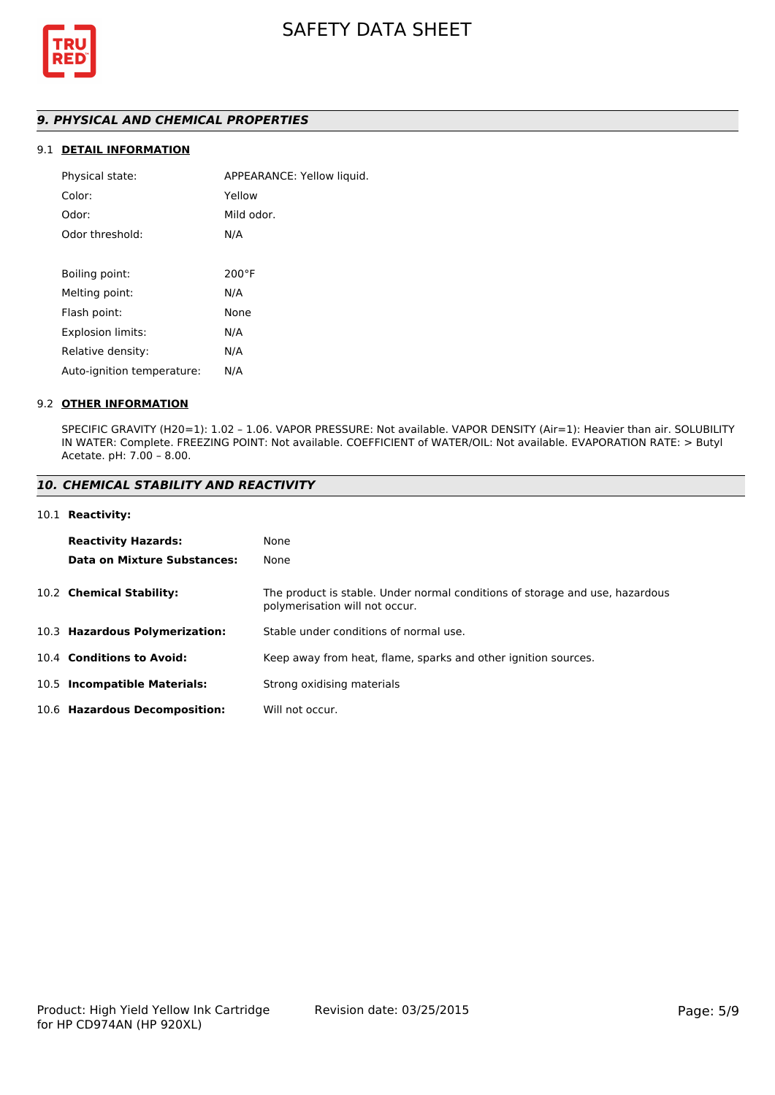

# *9. PHYSICAL AND CHEMICAL PROPERTIES*

# 9.1 **DETAIL INFORMATION**

| Physical state:            | APPEARANCE: Yellow liquid. |
|----------------------------|----------------------------|
| Color:                     | Yellow                     |
| Odor:                      | Mild odor.                 |
| Odor threshold:            | N/A                        |
|                            |                            |
| Boiling point:             | $200^{\circ}$ F            |
| Melting point:             | N/A                        |
| Flash point:               | None                       |
| <b>Explosion limits:</b>   | N/A                        |
| Relative density:          | N/A                        |
| Auto-ignition temperature: | N/A                        |
|                            |                            |

#### 9.2 **OTHER INFORMATION**

SPECIFIC GRAVITY (H20=1): 1.02 – 1.06. VAPOR PRESSURE: Not available. VAPOR DENSITY (Air=1): Heavier than air. SOLUBILITY IN WATER: Complete. FREEZING POINT: Not available. COEFFICIENT of WATER/OIL: Not available. EVAPORATION RATE: > Butyl Acetate. pH: 7.00 – 8.00.

### *10. CHEMICAL STABILITY AND REACTIVITY*

#### 10.1 **Reactivity:**

| <b>Reactivity Hazards:</b>     | None                                                                                                           |
|--------------------------------|----------------------------------------------------------------------------------------------------------------|
| Data on Mixture Substances:    | None                                                                                                           |
| 10.2 Chemical Stability:       | The product is stable. Under normal conditions of storage and use, hazardous<br>polymerisation will not occur. |
| 10.3 Hazardous Polymerization: | Stable under conditions of normal use.                                                                         |
| 10.4 Conditions to Avoid:      | Keep away from heat, flame, sparks and other ignition sources.                                                 |
| 10.5 Incompatible Materials:   | Strong oxidising materials                                                                                     |
| 10.6 Hazardous Decomposition:  | Will not occur.                                                                                                |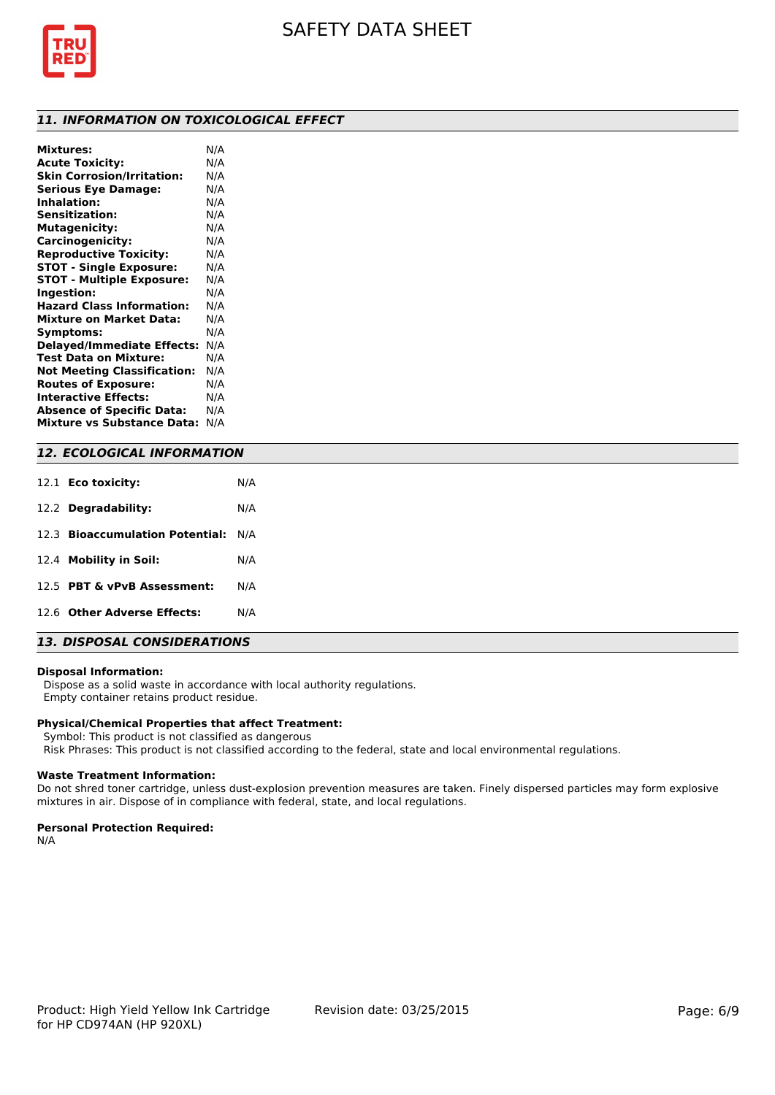

### *11. INFORMATION ON TOXICOLOGICAL EFFECT*

| <b>Mixtures:</b>                   | N/A |
|------------------------------------|-----|
| <b>Acute Toxicity:</b>             | N/A |
| <b>Skin Corrosion/Irritation:</b>  | N/A |
| <b>Serious Eye Damage:</b>         | N/A |
| <b>Inhalation:</b>                 | N/A |
| <b>Sensitization:</b>              | N/A |
| <b>Mutagenicity:</b>               | N/A |
| Carcinogenicity:                   | N/A |
| <b>Reproductive Toxicity:</b>      | N/A |
| <b>STOT - Single Exposure:</b>     | N/A |
| <b>STOT - Multiple Exposure:</b>   | N/A |
| Ingestion:                         | N/A |
| <b>Hazard Class Information:</b>   | N/A |
| <b>Mixture on Market Data:</b>     | N/A |
| Symptoms:                          | N/A |
| <b>Delayed/Immediate Effects:</b>  | N/A |
| <b>Test Data on Mixture:</b>       | N/A |
| <b>Not Meeting Classification:</b> | N/A |
| <b>Routes of Exposure:</b>         | N/A |
| <b>Interactive Effects:</b>        | N/A |
| <b>Absence of Specific Data:</b>   | N/A |
| <b>Mixture vs Substance Data:</b>  | N/A |
|                                    |     |

# *12. ECOLOGICAL INFORMATION*

| 12.1 <b>Eco toxicity:</b>           | N/A |
|-------------------------------------|-----|
| 12.2 Degradability:                 | N/A |
| 12.3 Bioaccumulation Potential: N/A |     |
| 12.4 Mobility in Soil:              | N/A |
| 12.5 PBT & vPvB Assessment:         | N/A |
| 12.6 Other Adverse Effects:         | N/A |
|                                     |     |

# *13. DISPOSAL CONSIDERATIONS*

#### **Disposal Information:**

 Dispose as a solid waste in accordance with local authority regulations. Empty container retains product residue.

#### **Physical/Chemical Properties that affect Treatment:**

Symbol: This product is not classified as dangerous

Risk Phrases: This product is not classified according to the federal, state and local environmental regulations.

#### **Waste Treatment Information:**

Do not shred toner cartridge, unless dust-explosion prevention measures are taken. Finely dispersed particles may form explosive mixtures in air. Dispose of in compliance with federal, state, and local regulations.

#### **Personal Protection Required:**

N/A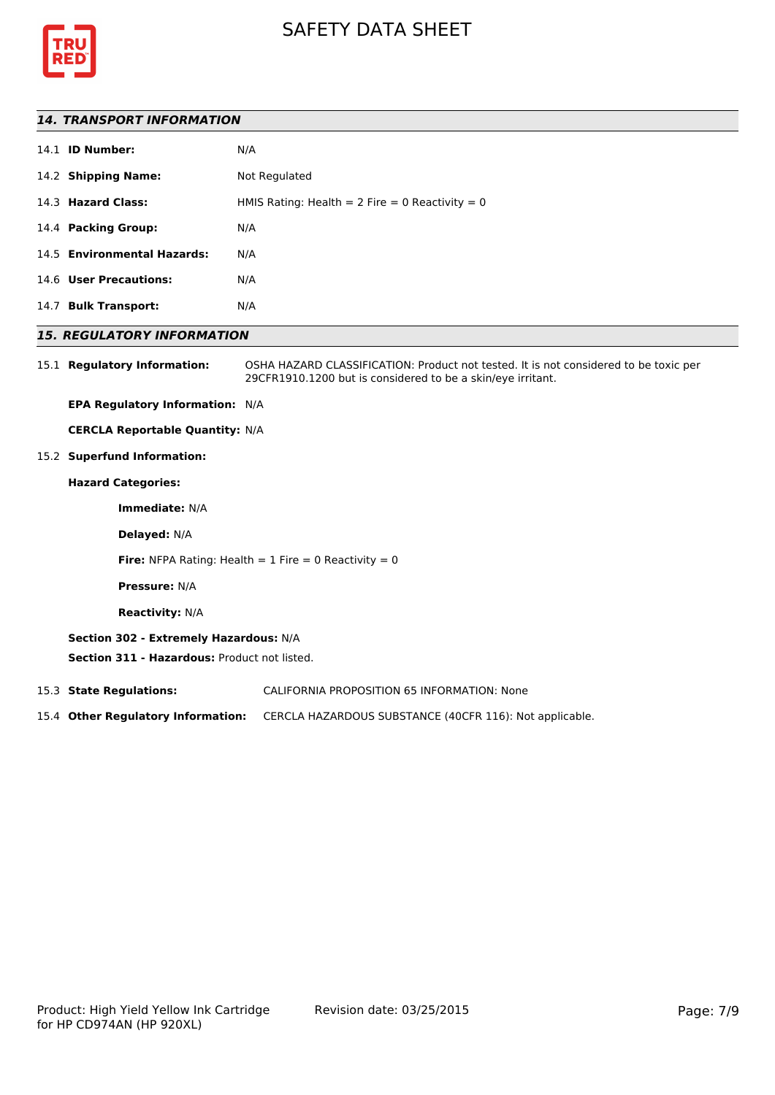



#### *14. TRANSPORT INFORMATION*

|      | 14.1 <b>ID Number:</b>      | N/A                                               |
|------|-----------------------------|---------------------------------------------------|
|      | 14.2 Shipping Name:         | Not Regulated                                     |
|      | 14.3 Hazard Class:          | HMIS Rating: Health = $2$ Fire = 0 Reactivity = 0 |
|      | 14.4 Packing Group:         | N/A                                               |
|      | 14.5 Environmental Hazards: | N/A                                               |
|      | 14.6 User Precautions:      | N/A                                               |
| 14.7 | <b>Bulk Transport:</b>      | N/A                                               |
|      |                             |                                                   |

### *15. REGULATORY INFORMATION*

15.1 **Regulatory Information:** OSHA HAZARD CLASSIFICATION: Product not tested. It is not considered to be toxic per 29CFR1910.1200 but is considered to be a skin/eye irritant.

**EPA Regulatory Information:** N/A

**CERCLA Reportable Quantity:** N/A

15.2 **Superfund Information:**

# **Hazard Categories:**

**Immediate:** N/A

**Delayed:** N/A

**Fire:** NFPA Rating: Health  $= 1$  Fire  $= 0$  Reactivity  $= 0$ 

**Pressure:** N/A

**Reactivity:** N/A

#### **Section 302 - Extremely Hazardous:** N/A

**Section 311 - Hazardous:** Product not listed.

15.3 **State Regulations:** CALIFORNIA PROPOSITION 65 INFORMATION: None

15.4 **Other Regulatory Information:** CERCLA HAZARDOUS SUBSTANCE (40CFR 116): Not applicable.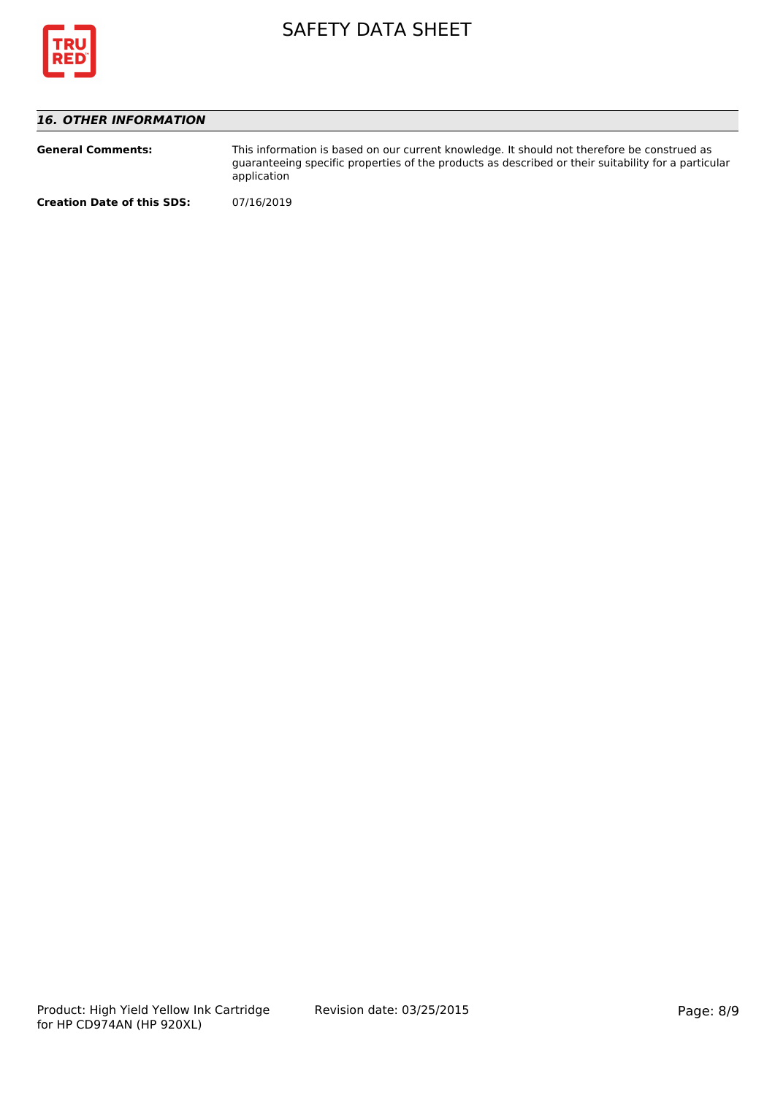

# *16. OTHER INFORMATION*

| <b>General Comments:</b>          | This information is based on our current knowledge. It should not therefore be construed as<br>guaranteeing specific properties of the products as described or their suitability for a particular<br>application |
|-----------------------------------|-------------------------------------------------------------------------------------------------------------------------------------------------------------------------------------------------------------------|
| <b>Creation Date of this SDS:</b> | 07/16/2019                                                                                                                                                                                                        |